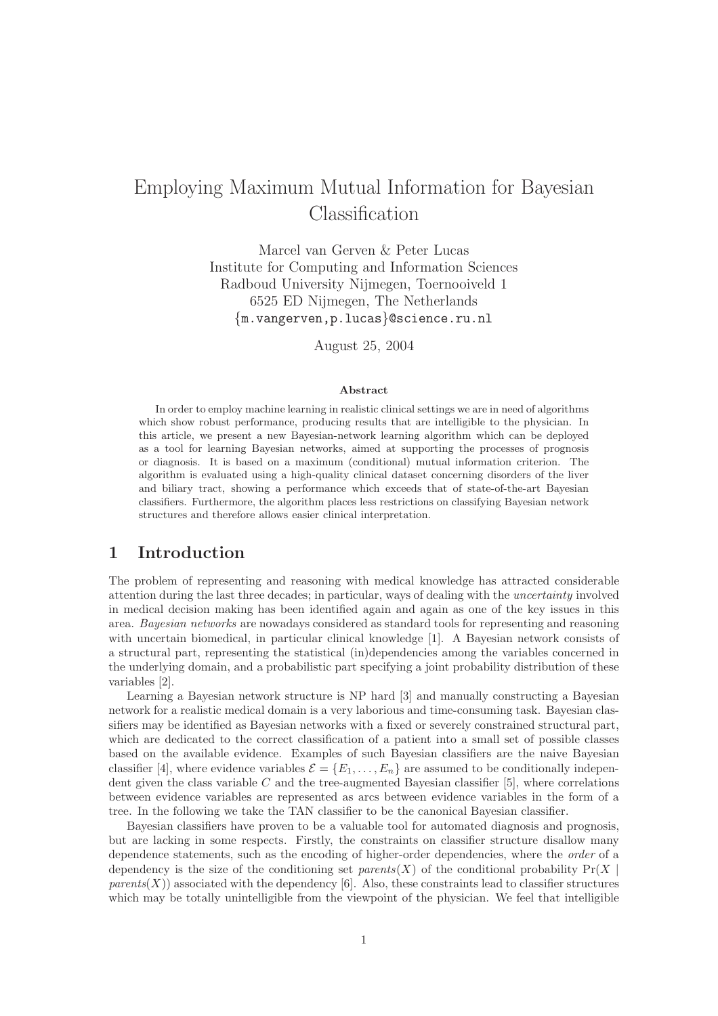# Employing Maximum Mutual Information for Bayesian Classification

Marcel van Gerven & Peter Lucas Institute for Computing and Information Sciences Radboud University Nijmegen, Toernooiveld 1 6525 ED Nijmegen, The Netherlands {m.vangerven,p.lucas}@science.ru.nl

August 25, 2004

#### Abstract

In order to employ machine learning in realistic clinical settings we are in need of algorithms which show robust performance, producing results that are intelligible to the physician. In this article, we present a new Bayesian-network learning algorithm which can be deployed as a tool for learning Bayesian networks, aimed at supporting the processes of prognosis or diagnosis. It is based on a maximum (conditional) mutual information criterion. The algorithm is evaluated using a high-quality clinical dataset concerning disorders of the liver and biliary tract, showing a performance which exceeds that of state-of-the-art Bayesian classifiers. Furthermore, the algorithm places less restrictions on classifying Bayesian network structures and therefore allows easier clinical interpretation.

## 1 Introduction

The problem of representing and reasoning with medical knowledge has attracted considerable attention during the last three decades; in particular, ways of dealing with the uncertainty involved in medical decision making has been identified again and again as one of the key issues in this area. Bayesian networks are nowadays considered as standard tools for representing and reasoning with uncertain biomedical, in particular clinical knowledge [1]. A Bayesian network consists of a structural part, representing the statistical (in)dependencies among the variables concerned in the underlying domain, and a probabilistic part specifying a joint probability distribution of these variables [2].

Learning a Bayesian network structure is NP hard [3] and manually constructing a Bayesian network for a realistic medical domain is a very laborious and time-consuming task. Bayesian classifiers may be identified as Bayesian networks with a fixed or severely constrained structural part, which are dedicated to the correct classification of a patient into a small set of possible classes based on the available evidence. Examples of such Bayesian classifiers are the naive Bayesian classifier [4], where evidence variables  $\mathcal{E} = \{E_1, \ldots, E_n\}$  are assumed to be conditionally independent given the class variable  $C$  and the tree-augmented Bayesian classifier [5], where correlations between evidence variables are represented as arcs between evidence variables in the form of a tree. In the following we take the TAN classifier to be the canonical Bayesian classifier.

Bayesian classifiers have proven to be a valuable tool for automated diagnosis and prognosis, but are lacking in some respects. Firstly, the constraints on classifier structure disallow many dependence statements, such as the encoding of higher-order dependencies, where the order of a dependency is the size of the conditioning set parents  $(X)$  of the conditional probability  $Pr(X | X)$  $parents(X))$  associated with the dependency [6]. Also, these constraints lead to classifier structures which may be totally unintelligible from the viewpoint of the physician. We feel that intelligible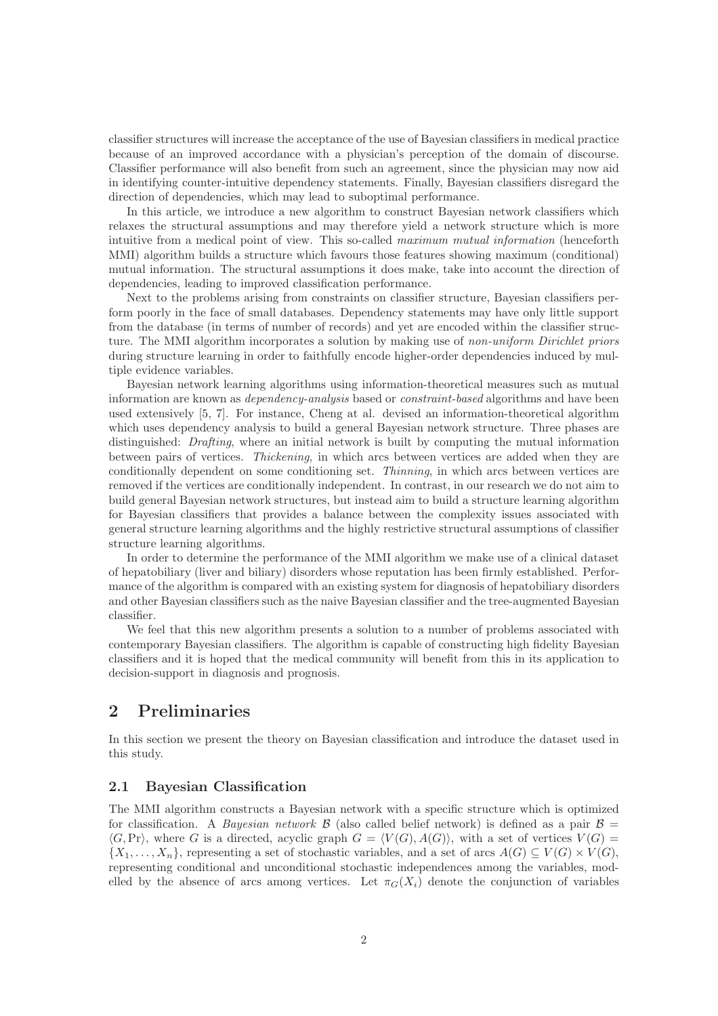classifier structures will increase the acceptance of the use of Bayesian classifiers in medical practice because of an improved accordance with a physician's perception of the domain of discourse. Classifier performance will also benefit from such an agreement, since the physician may now aid in identifying counter-intuitive dependency statements. Finally, Bayesian classifiers disregard the direction of dependencies, which may lead to suboptimal performance.

In this article, we introduce a new algorithm to construct Bayesian network classifiers which relaxes the structural assumptions and may therefore yield a network structure which is more intuitive from a medical point of view. This so-called *maximum mutual information* (henceforth MMI) algorithm builds a structure which favours those features showing maximum (conditional) mutual information. The structural assumptions it does make, take into account the direction of dependencies, leading to improved classification performance.

Next to the problems arising from constraints on classifier structure, Bayesian classifiers perform poorly in the face of small databases. Dependency statements may have only little support from the database (in terms of number of records) and yet are encoded within the classifier structure. The MMI algorithm incorporates a solution by making use of non-uniform Dirichlet priors during structure learning in order to faithfully encode higher-order dependencies induced by multiple evidence variables.

Bayesian network learning algorithms using information-theoretical measures such as mutual information are known as *dependency-analysis* based or *constraint-based* algorithms and have been used extensively [5, 7]. For instance, Cheng at al. devised an information-theoretical algorithm which uses dependency analysis to build a general Bayesian network structure. Three phases are distinguished: Drafting, where an initial network is built by computing the mutual information between pairs of vertices. Thickening, in which arcs between vertices are added when they are conditionally dependent on some conditioning set. Thinning, in which arcs between vertices are removed if the vertices are conditionally independent. In contrast, in our research we do not aim to build general Bayesian network structures, but instead aim to build a structure learning algorithm for Bayesian classifiers that provides a balance between the complexity issues associated with general structure learning algorithms and the highly restrictive structural assumptions of classifier structure learning algorithms.

In order to determine the performance of the MMI algorithm we make use of a clinical dataset of hepatobiliary (liver and biliary) disorders whose reputation has been firmly established. Performance of the algorithm is compared with an existing system for diagnosis of hepatobiliary disorders and other Bayesian classifiers such as the naive Bayesian classifier and the tree-augmented Bayesian classifier.

We feel that this new algorithm presents a solution to a number of problems associated with contemporary Bayesian classifiers. The algorithm is capable of constructing high fidelity Bayesian classifiers and it is hoped that the medical community will benefit from this in its application to decision-support in diagnosis and prognosis.

## 2 Preliminaries

In this section we present the theory on Bayesian classification and introduce the dataset used in this study.

#### 2.1 Bayesian Classification

The MMI algorithm constructs a Bayesian network with a specific structure which is optimized for classification. A Bayesian network  $\beta$  (also called belief network) is defined as a pair  $\beta$  =  $\langle G, \text{Pr} \rangle$ , where G is a directed, acyclic graph  $G = \langle V(G), A(G) \rangle$ , with a set of vertices  $V(G)$  =  $\{X_1, \ldots, X_n\}$ , representing a set of stochastic variables, and a set of arcs  $A(G) \subseteq V(G) \times V(G)$ , representing conditional and unconditional stochastic independences among the variables, modelled by the absence of arcs among vertices. Let  $\pi_G(X_i)$  denote the conjunction of variables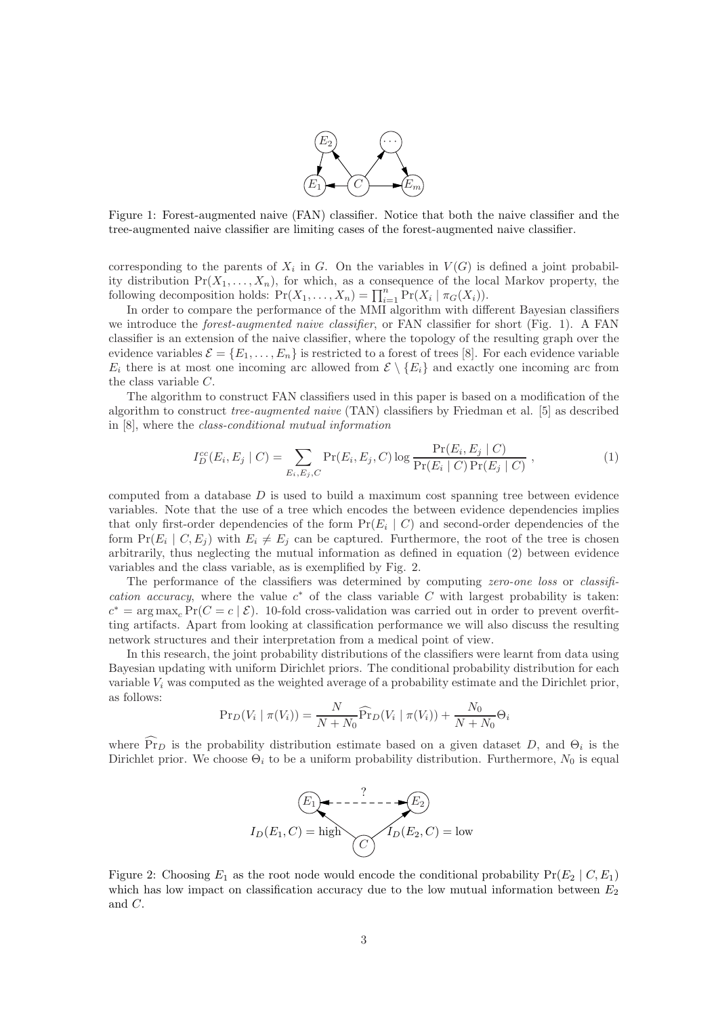

Figure 1: Forest-augmented naive (FAN) classifier. Notice that both the naive classifier and the tree-augmented naive classifier are limiting cases of the forest-augmented naive classifier.

corresponding to the parents of  $X_i$  in G. On the variables in  $V(G)$  is defined a joint probability distribution  $Pr(X_1, ..., X_n)$ , for which, as a consequence of the local Markov property, the following decomposition holds:  $Pr(X_1, ..., X_n) = \prod_{i=1}^n Pr(X_i \mid \pi_G(X_i)).$ 

In order to compare the performance of the MMI algorithm with different Bayesian classifiers we introduce the *forest-augmented naive classifier*, or FAN classifier for short (Fig. 1). A FAN classifier is an extension of the naive classifier, where the topology of the resulting graph over the evidence variables  $\mathcal{E} = \{E_1, \ldots, E_n\}$  is restricted to a forest of trees [8]. For each evidence variable  $E_i$  there is at most one incoming arc allowed from  $\mathcal{E} \setminus \{E_i\}$  and exactly one incoming arc from the class variable C.

The algorithm to construct FAN classifiers used in this paper is based on a modification of the algorithm to construct tree-augmented naive (TAN) classifiers by Friedman et al. [5] as described in [8], where the class-conditional mutual information

$$
I_D^{cc}(E_i, E_j \mid C) = \sum_{E_i, E_j, C} \Pr(E_i, E_j, C) \log \frac{\Pr(E_i, E_j \mid C)}{\Pr(E_i \mid C) \Pr(E_j \mid C)},
$$
\n(1)

computed from a database  $D$  is used to build a maximum cost spanning tree between evidence variables. Note that the use of a tree which encodes the between evidence dependencies implies that only first-order dependencies of the form  $Pr(E_i | C)$  and second-order dependencies of the form  $Pr(E_i | C, E_j)$  with  $E_i \neq E_j$  can be captured. Furthermore, the root of the tree is chosen arbitrarily, thus neglecting the mutual information as defined in equation (2) between evidence variables and the class variable, as is exemplified by Fig. 2.

The performance of the classifiers was determined by computing zero-one loss or classification accuracy, where the value  $c^*$  of the class variable C with largest probability is taken:  $c^* = \arg \max_c \Pr(C = c \mid \mathcal{E})$ . 10-fold cross-validation was carried out in order to prevent overfitting artifacts. Apart from looking at classification performance we will also discuss the resulting network structures and their interpretation from a medical point of view.

In this research, the joint probability distributions of the classifiers were learnt from data using Bayesian updating with uniform Dirichlet priors. The conditional probability distribution for each variable  $V_i$  was computed as the weighted average of a probability estimate and the Dirichlet prior, as follows:

$$
Pr_D(V_i \mid \pi(V_i)) = \frac{N}{N + N_0} \widehat{Pr}_D(V_i \mid \pi(V_i)) + \frac{N_0}{N + N_0} \Theta_i
$$

where Pr<sub>D</sub> is the probability distribution estimate based on a given dataset D, and  $\Theta_i$  is the Dirichlet prior. We choose  $\Theta_i$  to be a uniform probability distribution. Furthermore,  $N_0$  is equal



Figure 2: Choosing  $E_1$  as the root node would encode the conditional probability  $Pr(E_2 | C, E_1)$ which has low impact on classification accuracy due to the low mutual information between  $E_2$ and C.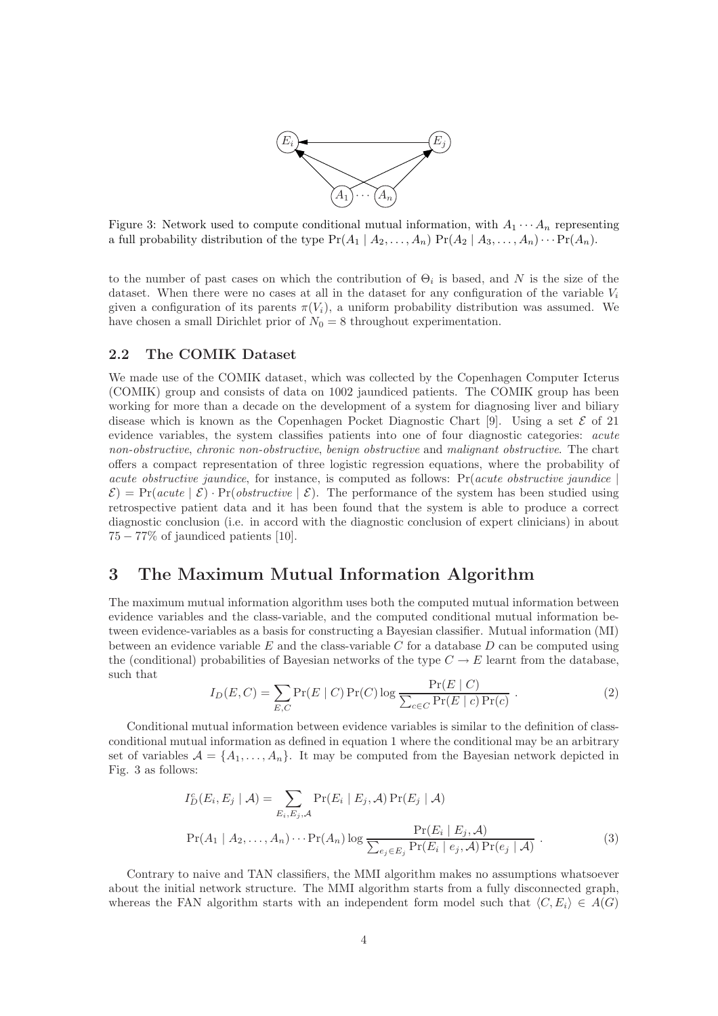

Figure 3: Network used to compute conditional mutual information, with  $A_1 \cdots A_n$  representing a full probability distribution of the type  $Pr(A_1 | A_2, \ldots, A_n)$   $Pr(A_2 | A_3, \ldots, A_n) \cdots Pr(A_n)$ .

to the number of past cases on which the contribution of  $\Theta_i$  is based, and N is the size of the dataset. When there were no cases at all in the dataset for any configuration of the variable  $V_i$ given a configuration of its parents  $\pi(V_i)$ , a uniform probability distribution was assumed. We have chosen a small Dirichlet prior of  $N_0 = 8$  throughout experimentation.

#### 2.2 The COMIK Dataset

We made use of the COMIK dataset, which was collected by the Copenhagen Computer Icterus (COMIK) group and consists of data on 1002 jaundiced patients. The COMIK group has been working for more than a decade on the development of a system for diagnosing liver and biliary disease which is known as the Copenhagen Pocket Diagnostic Chart [9]. Using a set  $\mathcal E$  of 21 evidence variables, the system classifies patients into one of four diagnostic categories: acute non-obstructive, chronic non-obstructive, benign obstructive and malignant obstructive. The chart offers a compact representation of three logistic regression equations, where the probability of acute obstructive jaundice, for instance, is computed as follows:  $Pr(a\text{cute}~obstructive~jaudice$  $\mathcal{E}$ ) = Pr(*acute* |  $\mathcal{E}$ ) · Pr(*obstructive* |  $\mathcal{E}$ ). The performance of the system has been studied using retrospective patient data and it has been found that the system is able to produce a correct diagnostic conclusion (i.e. in accord with the diagnostic conclusion of expert clinicians) in about  $75 - 77\%$  of jaundiced patients [10].

# 3 The Maximum Mutual Information Algorithm

The maximum mutual information algorithm uses both the computed mutual information between evidence variables and the class-variable, and the computed conditional mutual information between evidence-variables as a basis for constructing a Bayesian classifier. Mutual information (MI) between an evidence variable  $E$  and the class-variable  $C$  for a database  $D$  can be computed using the (conditional) probabilities of Bayesian networks of the type  $C \to E$  learnt from the database, such that

$$
I_D(E, C) = \sum_{E, C} \Pr(E \mid C) \Pr(C) \log \frac{\Pr(E \mid C)}{\sum_{c \in C} \Pr(E \mid c) \Pr(c)}.
$$
 (2)

Conditional mutual information between evidence variables is similar to the definition of classconditional mutual information as defined in equation 1 where the conditional may be an arbitrary set of variables  $A = \{A_1, \ldots, A_n\}$ . It may be computed from the Bayesian network depicted in Fig. 3 as follows:

$$
I_D^c(E_i, E_j | \mathcal{A}) = \sum_{E_i, E_j, \mathcal{A}} \Pr(E_i | E_j, \mathcal{A}) \Pr(E_j | \mathcal{A})
$$
  
\n
$$
\Pr(A_1 | A_2, \dots, A_n) \cdots \Pr(A_n) \log \frac{\Pr(E_i | E_j, \mathcal{A})}{\sum_{e_j \in E_j} \Pr(E_i | e_j, \mathcal{A}) \Pr(e_j | \mathcal{A})}.
$$
 (3)

Contrary to naive and TAN classifiers, the MMI algorithm makes no assumptions whatsoever about the initial network structure. The MMI algorithm starts from a fully disconnected graph, whereas the FAN algorithm starts with an independent form model such that  $\langle C, E_i \rangle \in A(G)$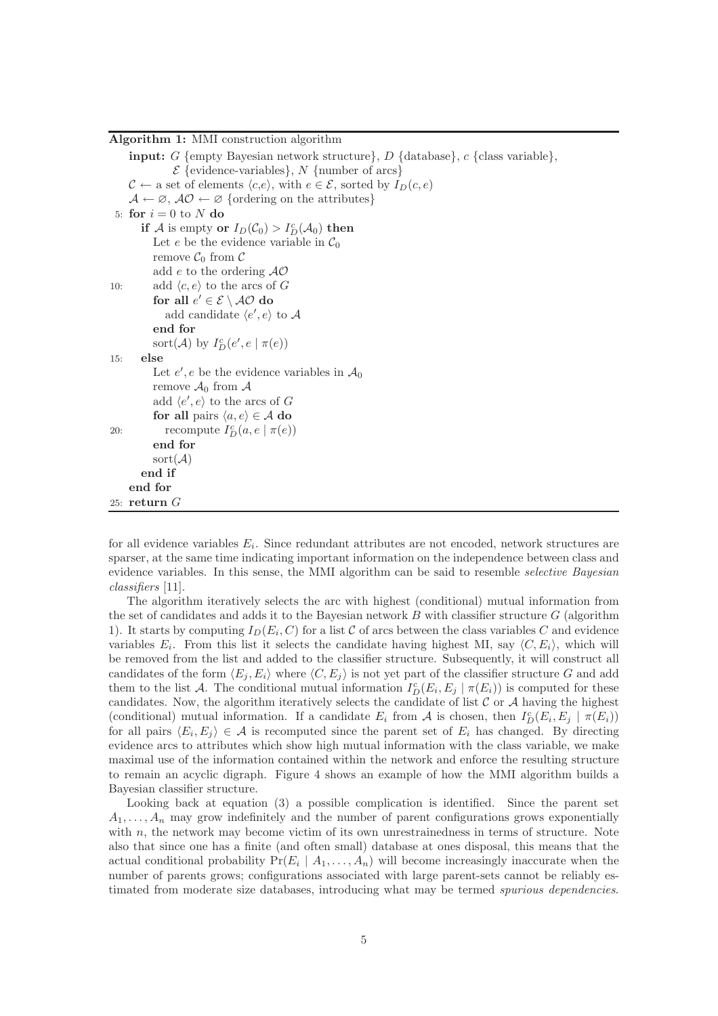| <b>Algorithm 1:</b> MMI construction algorithm                                                                     |  |  |  |  |  |  |
|--------------------------------------------------------------------------------------------------------------------|--|--|--|--|--|--|
| <b>input:</b> $G$ {empty Bayesian network structure}, $D$ {database}, $c$ {class variable},                        |  |  |  |  |  |  |
| $\mathcal{E}$ {evidence-variables}, N {number of arcs}                                                             |  |  |  |  |  |  |
| $\mathcal{C} \leftarrow$ a set of elements $\langle c,e \rangle$ , with $e \in \mathcal{E}$ , sorted by $I_D(c,e)$ |  |  |  |  |  |  |
| $\mathcal{A} \leftarrow \emptyset$ , $\mathcal{AO} \leftarrow \emptyset$ {ordering on the attributes}              |  |  |  |  |  |  |
| 5: for $i=0$ to N do                                                                                               |  |  |  |  |  |  |
| if A is empty or $I_D(\mathcal{C}_0) > I_D^c(\mathcal{A}_0)$ then                                                  |  |  |  |  |  |  |
| Let e be the evidence variable in $\mathcal{C}_0$                                                                  |  |  |  |  |  |  |
| remove $\mathcal{C}_0$ from $\mathcal C$                                                                           |  |  |  |  |  |  |
| add e to the ordering $A\mathcal{O}$                                                                               |  |  |  |  |  |  |
| add $\langle c, e \rangle$ to the arcs of G<br>10:                                                                 |  |  |  |  |  |  |
| for all $e' \in \mathcal{E} \setminus \mathcal{AO}$ do                                                             |  |  |  |  |  |  |
| add candidate $\langle e', e \rangle$ to A                                                                         |  |  |  |  |  |  |
| end for                                                                                                            |  |  |  |  |  |  |
| sort(A) by $I_D^c(e', e   \pi(e))$                                                                                 |  |  |  |  |  |  |
| else<br>15:                                                                                                        |  |  |  |  |  |  |
| Let $e'$ , e be the evidence variables in $\mathcal{A}_0$                                                          |  |  |  |  |  |  |
| remove $\mathcal{A}_0$ from $\mathcal{A}$                                                                          |  |  |  |  |  |  |
| add $\langle e', e \rangle$ to the arcs of G                                                                       |  |  |  |  |  |  |
| for all pairs $\langle a, e \rangle \in \mathcal{A}$ do                                                            |  |  |  |  |  |  |
| recompute $I_D^c(a, e \mid \pi(e))$<br>20:                                                                         |  |  |  |  |  |  |
| end for                                                                                                            |  |  |  |  |  |  |
| $sort(\mathcal{A})$                                                                                                |  |  |  |  |  |  |
| end if                                                                                                             |  |  |  |  |  |  |
| end for                                                                                                            |  |  |  |  |  |  |
| 25: return $G$                                                                                                     |  |  |  |  |  |  |

for all evidence variables  $E_i$ . Since redundant attributes are not encoded, network structures are sparser, at the same time indicating important information on the independence between class and evidence variables. In this sense, the MMI algorithm can be said to resemble *selective Bayesian* classifiers [11].

The algorithm iteratively selects the arc with highest (conditional) mutual information from the set of candidates and adds it to the Bayesian network  $B$  with classifier structure  $G$  (algorithm 1). It starts by computing  $I_D(E_i, C)$  for a list C of arcs between the class variables C and evidence variables  $E_i$ . From this list it selects the candidate having highest MI, say  $\langle C, E_i \rangle$ , which will be removed from the list and added to the classifier structure. Subsequently, it will construct all candidates of the form  $\langle E_i, E_i \rangle$  where  $\langle C, E_j \rangle$  is not yet part of the classifier structure G and add them to the list A. The conditional mutual information  $I_D^c(E_i, E_j | \pi(E_i))$  is computed for these candidates. Now, the algorithm iteratively selects the candidate of list  $\mathcal C$  or  $\mathcal A$  having the highest (conditional) mutual information. If a candidate  $E_i$  from A is chosen, then  $I_D^c(E_i, E_j | \pi(E_i))$ for all pairs  $\langle E_i, E_j \rangle \in \mathcal{A}$  is recomputed since the parent set of  $E_i$  has changed. By directing evidence arcs to attributes which show high mutual information with the class variable, we make maximal use of the information contained within the network and enforce the resulting structure to remain an acyclic digraph. Figure 4 shows an example of how the MMI algorithm builds a Bayesian classifier structure.

Looking back at equation (3) a possible complication is identified. Since the parent set  $A_1, \ldots, A_n$  may grow indefinitely and the number of parent configurations grows exponentially with  $n$ , the network may become victim of its own unrestrainedness in terms of structure. Note also that since one has a finite (and often small) database at ones disposal, this means that the actual conditional probability  $Pr(E_i | A_1, \ldots, A_n)$  will become increasingly inaccurate when the number of parents grows; configurations associated with large parent-sets cannot be reliably estimated from moderate size databases, introducing what may be termed spurious dependencies.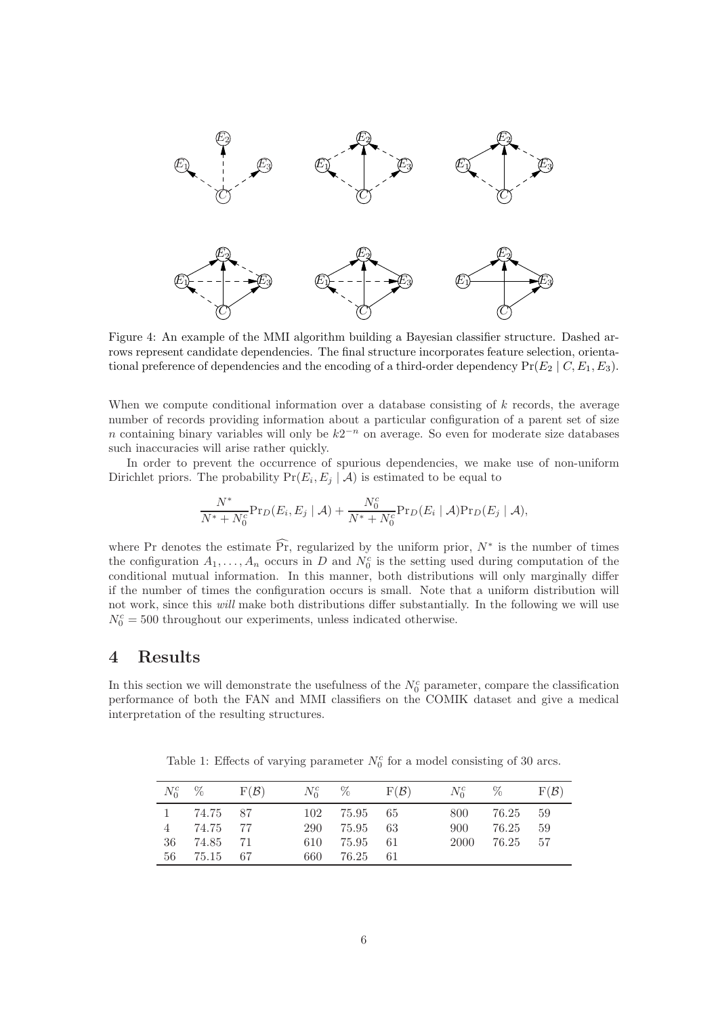

Figure 4: An example of the MMI algorithm building a Bayesian classifier structure. Dashed arrows represent candidate dependencies. The final structure incorporates feature selection, orientational preference of dependencies and the encoding of a third-order dependency  $Pr(E_2 | C, E_1, E_3)$ .

When we compute conditional information over a database consisting of k records, the average number of records providing information about a particular configuration of a parent set of size n containing binary variables will only be  $k2^{-n}$  on average. So even for moderate size databases such inaccuracies will arise rather quickly.

In order to prevent the occurrence of spurious dependencies, we make use of non-uniform Dirichlet priors. The probability  $Pr(E_i, E_j | \mathcal{A})$  is estimated to be equal to

$$
\frac{N^*}{N^*+N_0^c} \Pr_D(E_i, E_j \mid \mathcal{A}) + \frac{N_0^c}{N^*+N_0^c} \Pr_D(E_i \mid \mathcal{A}) \Pr_D(E_j \mid \mathcal{A}),
$$

where Pr denotes the estimate  $\widehat{Pr}$ , regularized by the uniform prior,  $N^*$  is the number of times the configuration  $A_1, \ldots, A_n$  occurs in D and  $N_0^c$  is the setting used during computation of the conditional mutual information. In this manner, both distributions will only marginally differ if the number of times the configuration occurs is small. Note that a uniform distribution will not work, since this *will* make both distributions differ substantially. In the following we will use  $N_0^c=500$  throughout our experiments, unless indicated otherwise.

## 4 Results

In this section we will demonstrate the usefulness of the  $N_0^c$  parameter, compare the classification performance of both the FAN and MMI classifiers on the COMIK dataset and give a medical interpretation of the resulting structures.

Table 1: Effects of varying parameter  $N_0^c$  for a model consisting of 30 arcs.

|    | $N_0^c \quad \%$ | $F(\mathcal{B})$ |       | $N_0^c \quad \% \quad \mathcal{F}(\mathcal{B})$ |     | $N_0^c$ % |          | $F(\mathcal{B})$ |
|----|------------------|------------------|-------|-------------------------------------------------|-----|-----------|----------|------------------|
|    | 1 74.75 87       |                  | 102   | 75.95 65                                        |     | 800       | 76.25    | -59              |
| 4  | 74.75 77         |                  | 290   | 75.95                                           | -63 | 900       | 76.25    | 59               |
| 36 | 74.85 71         |                  | 610-  | 75.95                                           | 61  | 2000      | 76.25 57 |                  |
| 56 | 75.15 67         |                  | 660 - | 76.25                                           | 61  |           |          |                  |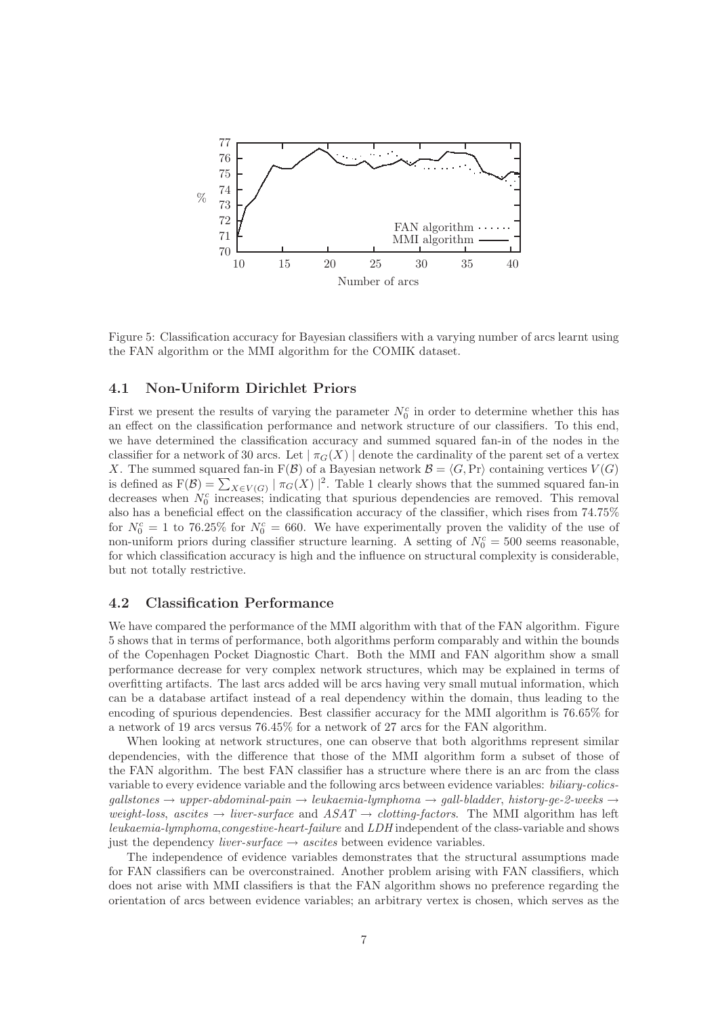

Figure 5: Classification accuracy for Bayesian classifiers with a varying number of arcs learnt using the FAN algorithm or the MMI algorithm for the COMIK dataset.

#### 4.1 Non-Uniform Dirichlet Priors

First we present the results of varying the parameter  $N_0^c$  in order to determine whether this has an effect on the classification performance and network structure of our classifiers. To this end, we have determined the classification accuracy and summed squared fan-in of the nodes in the classifier for a network of 30 arcs. Let  $|\pi_G(X)|$  denote the cardinality of the parent set of a vertex X. The summed squared fan-in  $F(\mathcal{B})$  of a Bayesian network  $\mathcal{B} = \langle G, Pr \rangle$  containing vertices  $V(G)$ is defined as  $F(\mathcal{B}) = \sum_{X \in V(G)} |\pi_G(X)|^2$ . Table 1 clearly shows that the summed squared fan-in decreases when  $N_0^c$  increases; indicating that spurious dependencies are removed. This removal also has a beneficial effect on the classification accuracy of the classifier, which rises from 74.75% for  $N_0^c = 1$  to 76.25% for  $N_0^c = 660$ . We have experimentally proven the validity of the use of non-uniform priors during classifier structure learning. A setting of  $N_0^c = 500$  seems reasonable, for which classification accuracy is high and the influence on structural complexity is considerable, but not totally restrictive.

#### 4.2 Classification Performance

We have compared the performance of the MMI algorithm with that of the FAN algorithm. Figure 5 shows that in terms of performance, both algorithms perform comparably and within the bounds of the Copenhagen Pocket Diagnostic Chart. Both the MMI and FAN algorithm show a small performance decrease for very complex network structures, which may be explained in terms of overfitting artifacts. The last arcs added will be arcs having very small mutual information, which can be a database artifact instead of a real dependency within the domain, thus leading to the encoding of spurious dependencies. Best classifier accuracy for the MMI algorithm is 76.65% for a network of 19 arcs versus 76.45% for a network of 27 arcs for the FAN algorithm.

When looking at network structures, one can observe that both algorithms represent similar dependencies, with the difference that those of the MMI algorithm form a subset of those of the FAN algorithm. The best FAN classifier has a structure where there is an arc from the class variable to every evidence variable and the following arcs between evidence variables: biliary-colics $qallstones \rightarrow upper-abdominal-pain \rightarrow leukaemia-lumbhoma \rightarrow gall-bladder, history-qe-2-weeks \rightarrow$ weight-loss, ascites  $\rightarrow$  liver-surface and  $ASAT \rightarrow$  clotting-factors. The MMI algorithm has left leukaemia-lymphoma,congestive-heart-failure and LDH independent of the class-variable and shows just the dependency *liver-surface*  $\rightarrow$  *ascites* between evidence variables.

The independence of evidence variables demonstrates that the structural assumptions made for FAN classifiers can be overconstrained. Another problem arising with FAN classifiers, which does not arise with MMI classifiers is that the FAN algorithm shows no preference regarding the orientation of arcs between evidence variables; an arbitrary vertex is chosen, which serves as the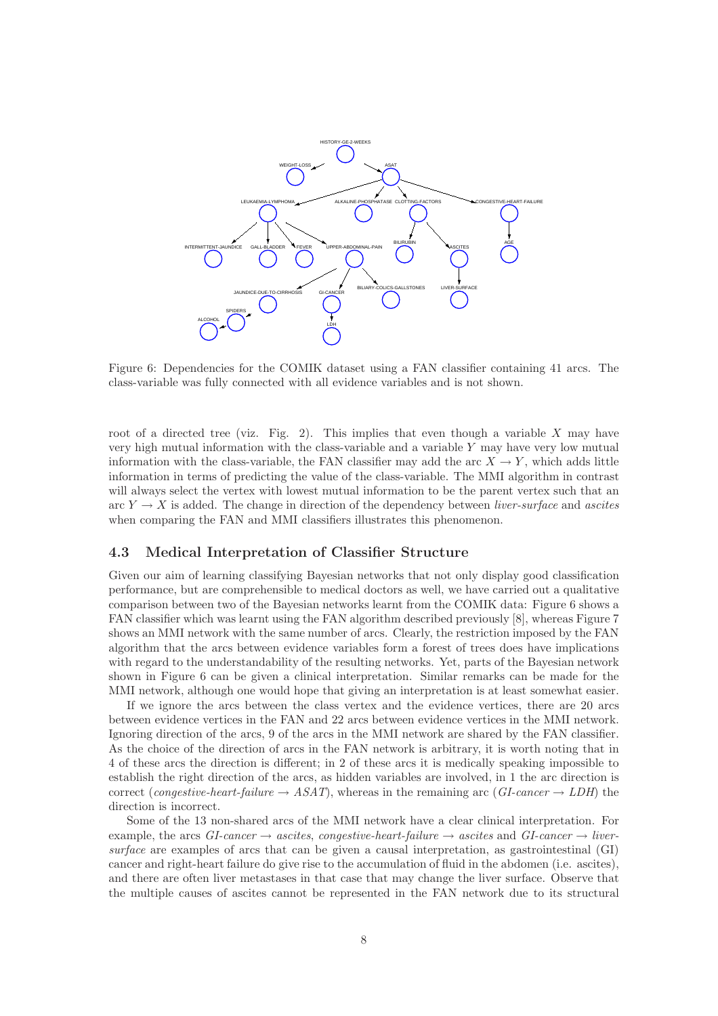

Figure 6: Dependencies for the COMIK dataset using a FAN classifier containing 41 arcs. The class-variable was fully connected with all evidence variables and is not shown.

root of a directed tree (viz. Fig. 2). This implies that even though a variable  $X$  may have very high mutual information with the class-variable and a variable Y may have very low mutual information with the class-variable, the FAN classifier may add the arc  $X \to Y$ , which adds little information in terms of predicting the value of the class-variable. The MMI algorithm in contrast will always select the vertex with lowest mutual information to be the parent vertex such that an arc  $Y \to X$  is added. The change in direction of the dependency between *liver-surface* and *ascites* when comparing the FAN and MMI classifiers illustrates this phenomenon.

#### 4.3 Medical Interpretation of Classifier Structure

Given our aim of learning classifying Bayesian networks that not only display good classification performance, but are comprehensible to medical doctors as well, we have carried out a qualitative comparison between two of the Bayesian networks learnt from the COMIK data: Figure 6 shows a FAN classifier which was learnt using the FAN algorithm described previously [8], whereas Figure 7 shows an MMI network with the same number of arcs. Clearly, the restriction imposed by the FAN algorithm that the arcs between evidence variables form a forest of trees does have implications with regard to the understandability of the resulting networks. Yet, parts of the Bayesian network shown in Figure 6 can be given a clinical interpretation. Similar remarks can be made for the MMI network, although one would hope that giving an interpretation is at least somewhat easier.

If we ignore the arcs between the class vertex and the evidence vertices, there are 20 arcs between evidence vertices in the FAN and 22 arcs between evidence vertices in the MMI network. Ignoring direction of the arcs, 9 of the arcs in the MMI network are shared by the FAN classifier. As the choice of the direction of arcs in the FAN network is arbitrary, it is worth noting that in 4 of these arcs the direction is different; in 2 of these arcs it is medically speaking impossible to establish the right direction of the arcs, as hidden variables are involved, in 1 the arc direction is correct (congestive-heart-failure  $\rightarrow$  ASAT), whereas in the remaining arc (GI-cancer  $\rightarrow$  LDH) the direction is incorrect.

Some of the 13 non-shared arcs of the MMI network have a clear clinical interpretation. For example, the arcs  $GI\text{-}cancer \rightarrow ascites$ , congestive-heart-failure  $\rightarrow ascites$  and  $GI\text{-}cancer \rightarrow liver\text{-}cancer$ surface are examples of arcs that can be given a causal interpretation, as gastrointestinal (GI) cancer and right-heart failure do give rise to the accumulation of fluid in the abdomen (i.e. ascites), and there are often liver metastases in that case that may change the liver surface. Observe that the multiple causes of ascites cannot be represented in the FAN network due to its structural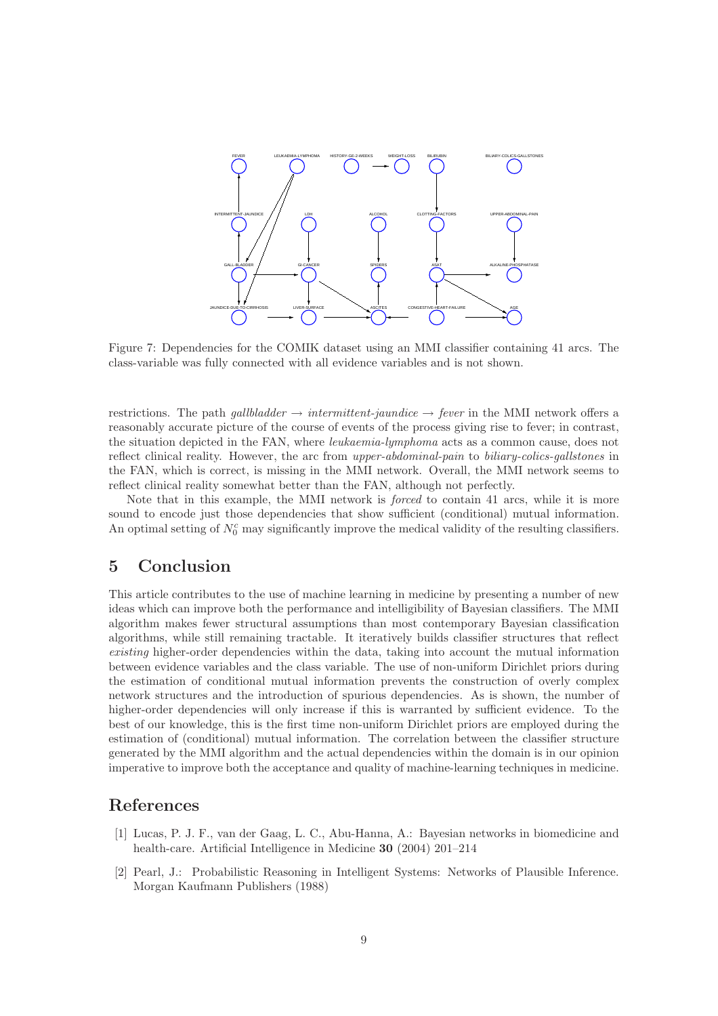

Figure 7: Dependencies for the COMIK dataset using an MMI classifier containing 41 arcs. The class-variable was fully connected with all evidence variables and is not shown.

restrictions. The path gallbladder  $\rightarrow$  intermittent-jaundice  $\rightarrow$  fever in the MMI network offers a reasonably accurate picture of the course of events of the process giving rise to fever; in contrast, the situation depicted in the FAN, where leukaemia-lymphoma acts as a common cause, does not reflect clinical reality. However, the arc from upper-abdominal-pain to biliary-colics-gallstones in the FAN, which is correct, is missing in the MMI network. Overall, the MMI network seems to reflect clinical reality somewhat better than the FAN, although not perfectly.

Note that in this example, the MMI network is forced to contain 41 arcs, while it is more sound to encode just those dependencies that show sufficient (conditional) mutual information. An optimal setting of  $N_0^c$  may significantly improve the medical validity of the resulting classifiers.

## 5 Conclusion

This article contributes to the use of machine learning in medicine by presenting a number of new ideas which can improve both the performance and intelligibility of Bayesian classifiers. The MMI algorithm makes fewer structural assumptions than most contemporary Bayesian classification algorithms, while still remaining tractable. It iteratively builds classifier structures that reflect existing higher-order dependencies within the data, taking into account the mutual information between evidence variables and the class variable. The use of non-uniform Dirichlet priors during the estimation of conditional mutual information prevents the construction of overly complex network structures and the introduction of spurious dependencies. As is shown, the number of higher-order dependencies will only increase if this is warranted by sufficient evidence. To the best of our knowledge, this is the first time non-uniform Dirichlet priors are employed during the estimation of (conditional) mutual information. The correlation between the classifier structure generated by the MMI algorithm and the actual dependencies within the domain is in our opinion imperative to improve both the acceptance and quality of machine-learning techniques in medicine.

## References

- [1] Lucas, P. J. F., van der Gaag, L. C., Abu-Hanna, A.: Bayesian networks in biomedicine and health-care. Artificial Intelligence in Medicine 30 (2004) 201–214
- [2] Pearl, J.: Probabilistic Reasoning in Intelligent Systems: Networks of Plausible Inference. Morgan Kaufmann Publishers (1988)